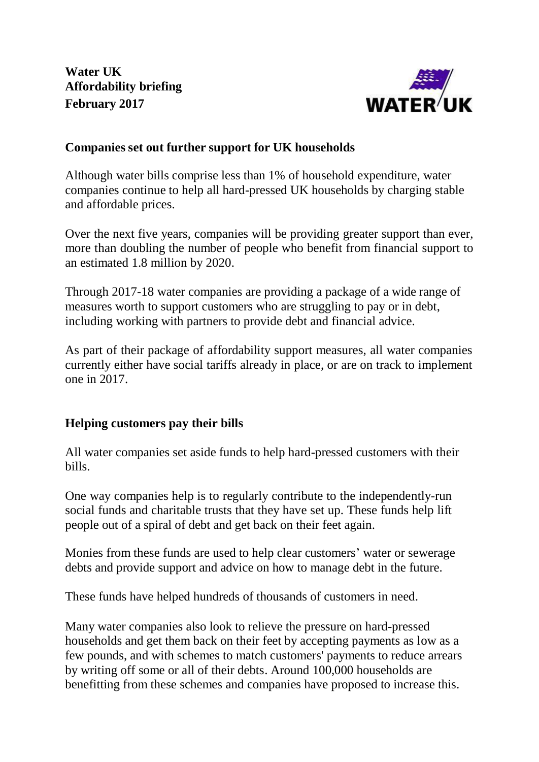**Water UK Affordability briefing February 2017**



# **Companies set out further support for UK households**

Although water bills comprise less than 1% of household expenditure, water companies continue to help all hard-pressed UK households by charging stable and affordable prices.

Over the next five years, companies will be providing greater support than ever, more than doubling the number of people who benefit from financial support to an estimated 1.8 million by 2020.

Through 2017-18 water companies are providing a package of a wide range of measures worth to support customers who are struggling to pay or in debt, including working with partners to provide debt and financial advice.

As part of their package of affordability support measures, all water companies currently either have social tariffs already in place, or are on track to implement one in 2017.

## **Helping customers pay their bills**

All water companies set aside funds to help hard-pressed customers with their bills.

One way companies help is to regularly contribute to the independently-run social funds and charitable trusts that they have set up. These funds help lift people out of a spiral of debt and get back on their feet again.

Monies from these funds are used to help clear customers' water or sewerage debts and provide support and advice on how to manage debt in the future.

These funds have helped hundreds of thousands of customers in need.

Many water companies also look to relieve the pressure on hard-pressed households and get them back on their feet by accepting payments as low as a few pounds, and with schemes to match customers' payments to reduce arrears by writing off some or all of their debts. Around 100,000 households are benefitting from these schemes and companies have proposed to increase this.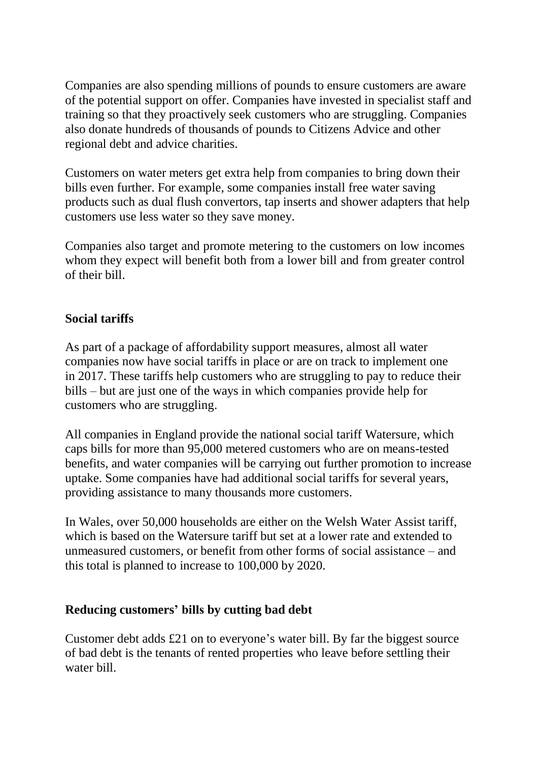Companies are also spending millions of pounds to ensure customers are aware of the potential support on offer. Companies have invested in specialist staff and training so that they proactively seek customers who are struggling. Companies also donate hundreds of thousands of pounds to Citizens Advice and other regional debt and advice charities.

Customers on water meters get extra help from companies to bring down their bills even further. For example, some companies install free water saving products such as dual flush convertors, tap inserts and shower adapters that help customers use less water so they save money.

Companies also target and promote metering to the customers on low incomes whom they expect will benefit both from a lower bill and from greater control of their bill.

## **Social tariffs**

As part of a package of affordability support measures, almost all water companies now have social tariffs in place or are on track to implement one in 2017. These tariffs help customers who are struggling to pay to reduce their bills – but are just one of the ways in which companies provide help for customers who are struggling.

All companies in England provide the national social tariff Watersure, which caps bills for more than 95,000 metered customers who are on means-tested benefits, and water companies will be carrying out further promotion to increase uptake. Some companies have had additional social tariffs for several years, providing assistance to many thousands more customers.

In Wales, over 50,000 households are either on the Welsh Water Assist tariff, which is based on the Watersure tariff but set at a lower rate and extended to unmeasured customers, or benefit from other forms of social assistance – and this total is planned to increase to 100,000 by 2020.

## **Reducing customers' bills by cutting bad debt**

Customer debt adds £21 on to everyone's water bill. By far the biggest source of bad debt is the tenants of rented properties who leave before settling their water bill.